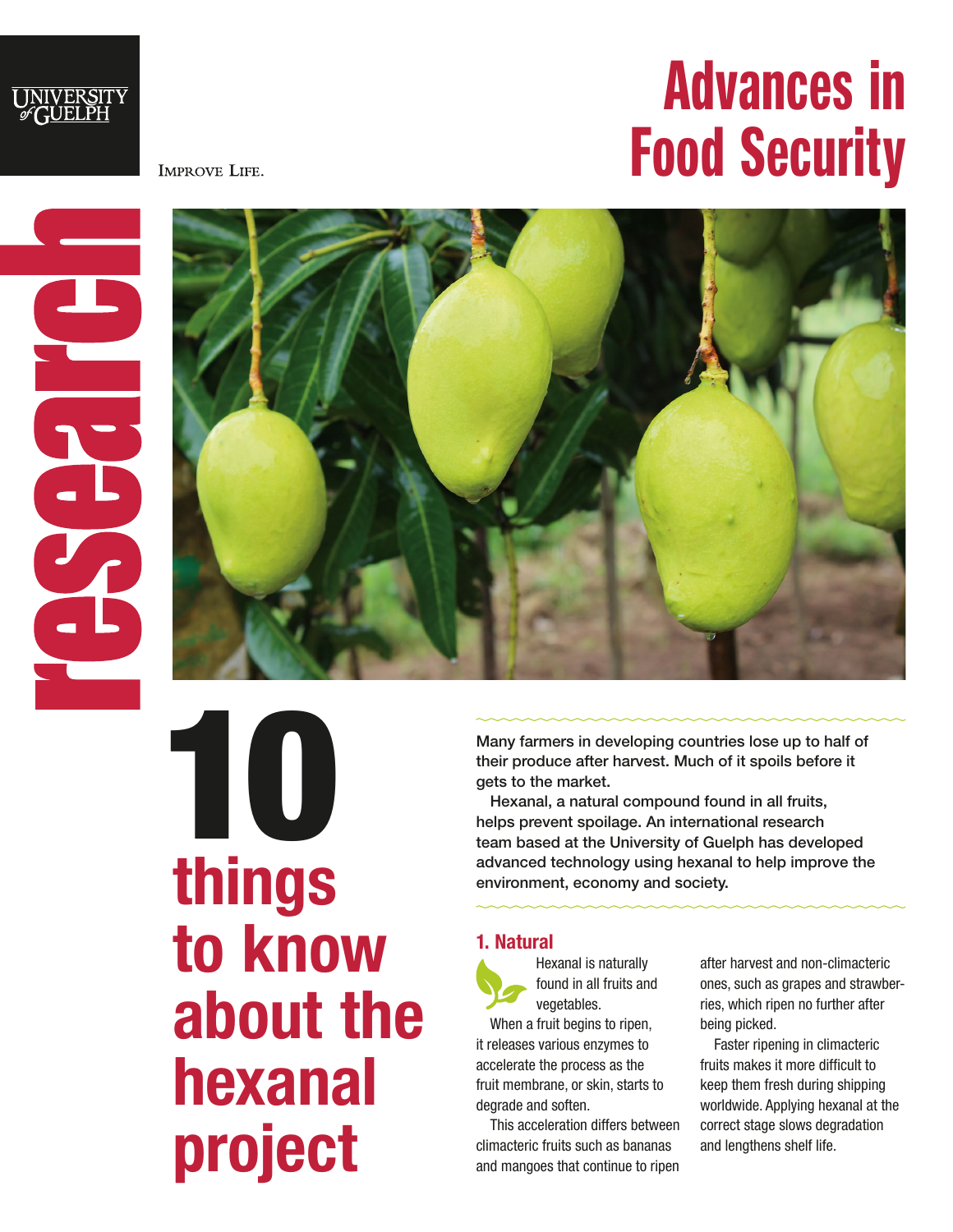

**IMPROVE LIFE.** 



UNIVERSITY<br>GUELPH



10 things to know about the hexanal project

Many farmers in developing countries lose up to half of their produce after harvest. Much of it spoils before it gets to the market.

Hexanal, a natural compound found in all fruits, helps prevent spoilage. An international research team based at the University of Guelph has developed advanced technology using hexanal to help improve the environment, economy and society.

# 1. Natural



When a fruit begins to ripen, it releases various enzymes to accelerate the process as the fruit membrane, or skin, starts to degrade and soften.

This acceleration differs between climacteric fruits such as bananas and mangoes that continue to ripen

after harvest and non-climacteric ones, such as grapes and strawberries, which ripen no further after being picked.

Faster ripening in climacteric fruits makes it more difficult to keep them fresh during shipping worldwide. Applying hexanal at the correct stage slows degradation and lengthens shelf life.